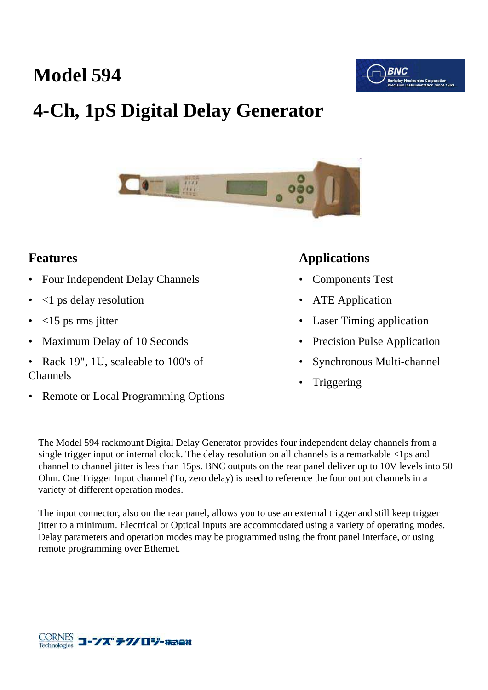## **Model 594**



# **4-Ch, 1pS Digital Delay Generator**



#### **Features**

- Four Independent Delay Channels
- <1 ps delay resolution
- $<$ 15 ps rms jitter
- Maximum Delay of 10 Seconds
- Rack 19", 1U, scaleable to 100's of Channels
- Remote or Local Programming Options

#### **Applications**

- Components Test
- ATE Application
- **Laser Timing application**
- Precision Pulse Application
- Synchronous Multi-channel
- **Triggering**

The Model 594 rackmount Digital Delay Generator provides four independent delay channels from a single trigger input or internal clock. The delay resolution on all channels is a remarkable <1ps and channel to channel jitter is less than 15ps. BNC outputs on the rear panel deliver up to 10V levels into 50 Ohm. One Trigger Input channel (To, zero delay) is used to reference the four output channels in a variety of different operation modes.

The input connector, also on the rear panel, allows you to use an external trigger and still keep trigger jitter to a minimum. Electrical or Optical inputs are accommodated using a variety of operating modes. Delay parameters and operation modes may be programmed using the front panel interface, or using remote programming over Ethernet.